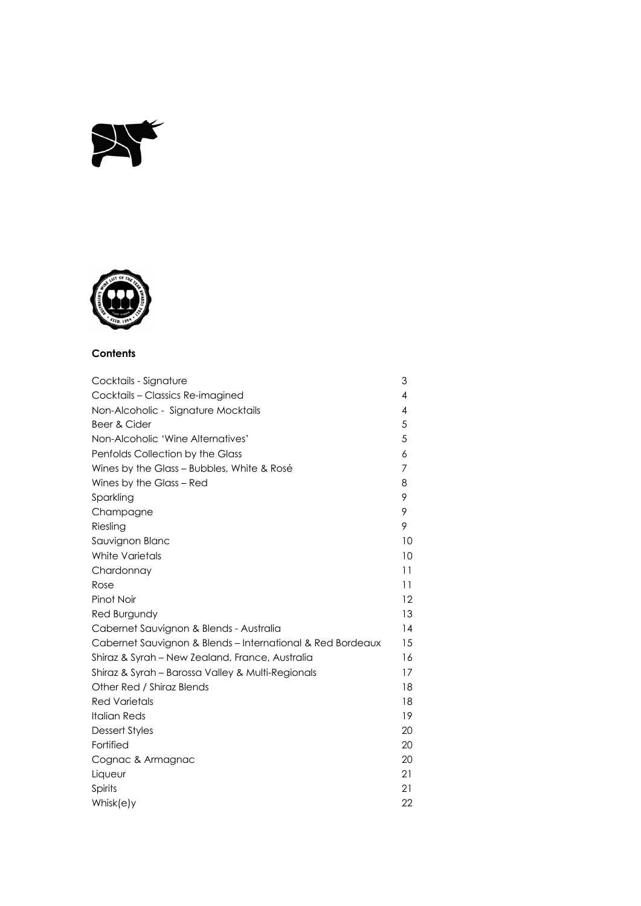



# **Contents**

| Cocktails - Signature                                      | 3              |
|------------------------------------------------------------|----------------|
| Cocktails - Classics Re-imagined                           | $\overline{4}$ |
| Non-Alcoholic - Signature Mocktails                        | $\overline{4}$ |
| Beer & Cider                                               | 5              |
| Non-Alcoholic 'Wine Alternatives'                          | 5              |
| Penfolds Collection by the Glass                           | 6              |
| Wines by the Glass - Bubbles, White & Rosé                 | 7              |
| Wines by the Glass - Red                                   | 8              |
| Sparkling                                                  | 9              |
| Champagne                                                  | 9              |
| Riesling                                                   | 9              |
| Sauvignon Blanc                                            | 10             |
| <b>White Varietals</b>                                     | 10             |
| Chardonnay                                                 | 11             |
| Rose                                                       | 11             |
| Pinot Noir                                                 | 12             |
| Red Burgundy                                               | 13             |
| Cabernet Sauvignon & Blends - Australia                    | 14             |
| Cabernet Sauvignon & Blends – International & Red Bordeaux | 15             |
| Shiraz & Syrah - New Zealand, France, Australia            | 16             |
| Shiraz & Syrah - Barossa Valley & Multi-Regionals          | 17             |
| Other Red / Shiraz Blends                                  | 18             |
| <b>Red Varietals</b>                                       | 18             |
| <b>Italian Reds</b>                                        | 19             |
| Dessert Styles                                             | 20             |
| Fortified                                                  | 20             |
| Cognac & Armagnac                                          | 20             |
| Liqueur                                                    | 21             |
| Spirits                                                    | 21             |
| Whisk(e)y                                                  | 22             |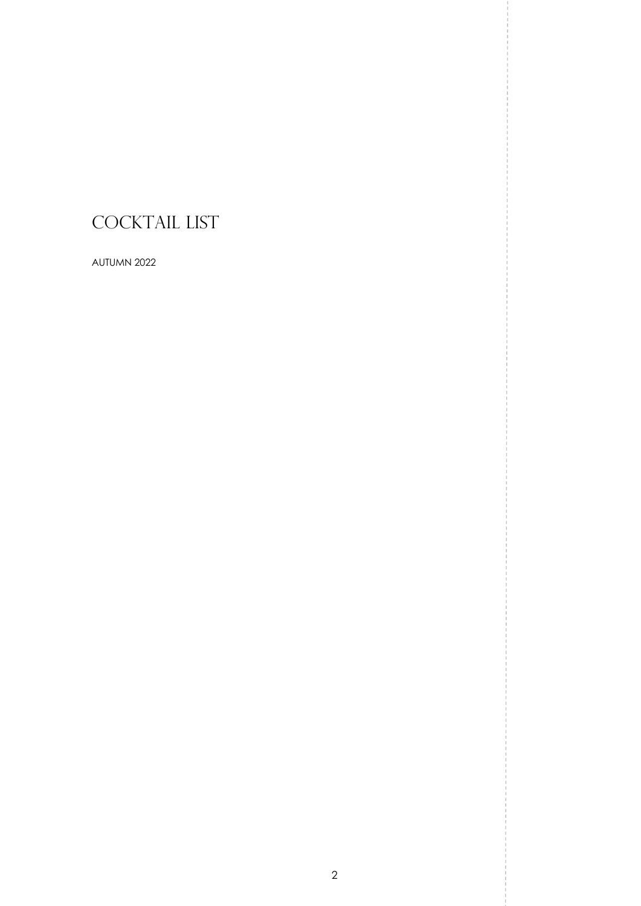# COCKTAIL LIST

AUTUMN 2022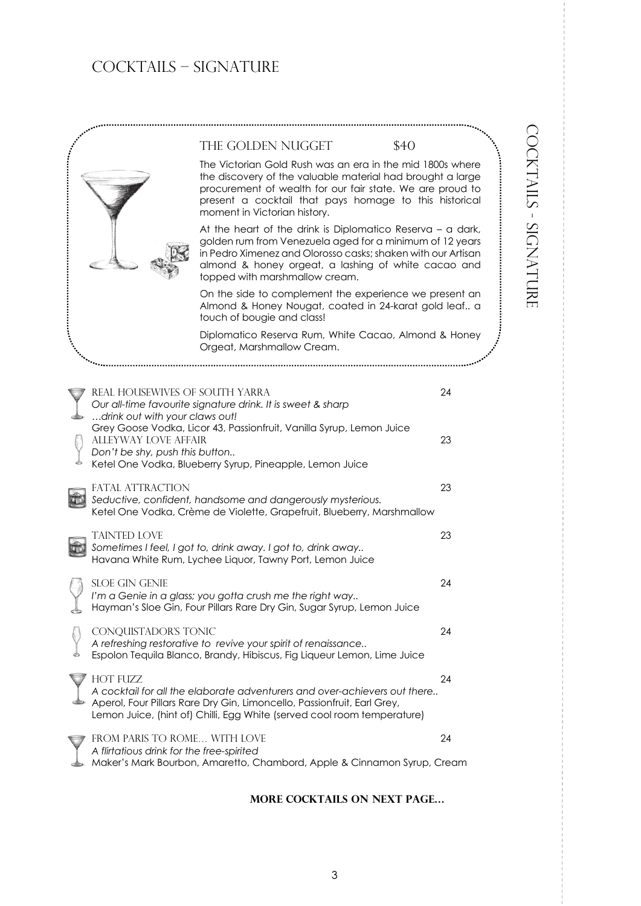# COCKTAILS – signature

|                                                                           | THE GOLDEN NUGGET                                                                                                                                                                                                                                                               | \$40 |
|---------------------------------------------------------------------------|---------------------------------------------------------------------------------------------------------------------------------------------------------------------------------------------------------------------------------------------------------------------------------|------|
|                                                                           | The Victorian Gold Rush was an era in the mid 1800s where<br>the discovery of the valuable material had brought a large<br>procurement of wealth for our fair state. We are proud to<br>present a cocktail that pays homage to this historical<br>moment in Victorian history.  |      |
|                                                                           | At the heart of the drink is Diplomatico Reserva - a dark,<br>golden rum from Venezuela aged for a minimum of 12 years<br>in Pedro Ximenez and Olorosso casks; shaken with our Artisan<br>almond & honey orgeat, a lashing of white cacao and<br>topped with marshmallow cream. |      |
|                                                                           | On the side to complement the experience we present an<br>Almond & Honey Nougat, coated in 24-karat gold leaf a<br>touch of bougie and class!                                                                                                                                   |      |
|                                                                           | Diplomatico Reserva Rum, White Cacao, Almond & Honey<br>Orgeat, Marshmallow Cream.                                                                                                                                                                                              |      |
|                                                                           |                                                                                                                                                                                                                                                                                 |      |
| REAL HOUSEWIVES OF SOUTH YARRA<br>drink out with your claws out!          | Our all-time favourite signature drink. It is sweet & sharp                                                                                                                                                                                                                     | 24   |
| ALLEYWAY LOVE AFFAIR<br>Don't be shy, push this button                    | Grey Goose Vodka, Licor 43, Passionfruit, Vanilla Syrup, Lemon Juice<br>Ketel One Vodka, Blueberry Syrup, Pineapple, Lemon Juice                                                                                                                                                | 23   |
| FATAL ATTRACTION                                                          | Seductive, confident, handsome and dangerously mysterious.<br>Ketel One Vodka, Crème de Violette, Grapefruit, Blueberry, Marshmallow                                                                                                                                            | 23   |
| <b>TAINTED LOVE</b>                                                       | Sometimes I feel, I got to, drink away. I got to, drink away<br>Havana White Rum, Lychee Liquor, Tawny Port, Lemon Juice                                                                                                                                                        | 23   |
| <b>SLOE GIN GENIE</b>                                                     | I'm a Genie in a glass; you gotta crush me the right way<br>Hayman's Sloe Gin, Four Pillars Rare Dry Gin, Sugar Syrup, Lemon Juice                                                                                                                                              | 24   |
| CONQUISTADOR'S TONIC                                                      | A refreshing restorative to revive your spirit of renaissance<br>Espolon Tequila Blanco, Brandy, Hibiscus, Fig Liqueur Lemon, Lime Juice                                                                                                                                        | 24   |
| <b>HOT FUZZ</b>                                                           | A cocktail for all the elaborate adventurers and over-achievers out there<br>Aperol, Four Pillars Rare Dry Gin, Limoncello, Passionfruit, Earl Grey,<br>Lemon Juice, (hint of) Chilli, Egg White (served cool room temperature)                                                 | 24   |
| FROM PARIS TO ROME WITH LOVE<br>A flirtatious drink for the free-spirited | Maker's Mark Bourbon, Amaretto, Chambord, Apple & Cinnamon Syrup, Cream                                                                                                                                                                                                         | 24   |

# **MORE COCKTAILS ON NEXT PAGE…**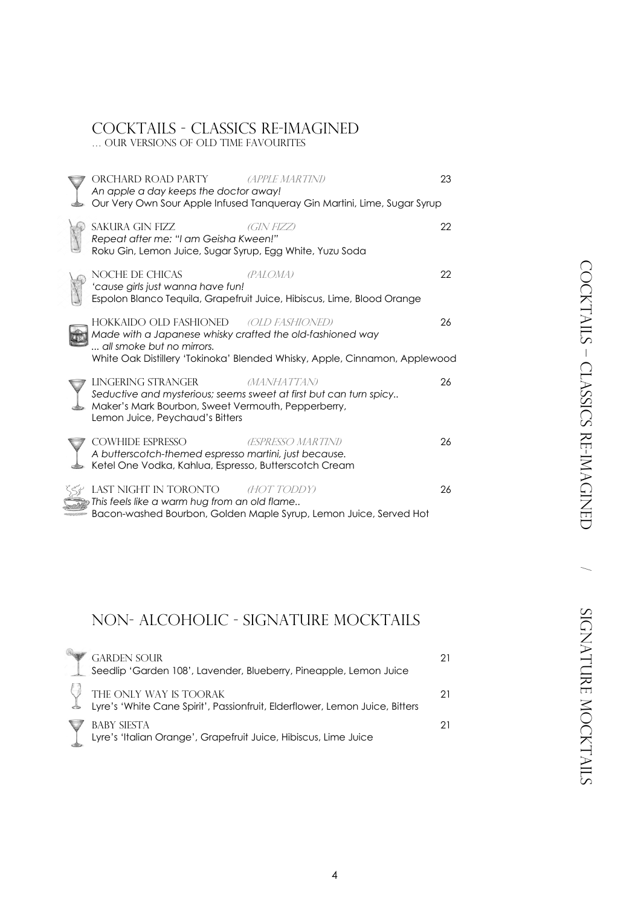# COCKTAILS - Classics Re-imagined … our VERSIONS oF old time favourites

|  | ORCHARD ROAD PARTY<br>An apple a day keeps the doctor away!                                                                                                                      | <i>(APPLE MARTINI)</i><br>Our Very Own Sour Apple Infused Tanqueray Gin Martini, Lime, Sugar Syrup | 23 |
|--|----------------------------------------------------------------------------------------------------------------------------------------------------------------------------------|----------------------------------------------------------------------------------------------------|----|
|  | SAKURA GIN FIZZ<br>Repeat after me: "I am Geisha Kween!"<br>Roku Gin, Lemon Juice, Sugar Syrup, Egg White, Yuzu Soda                                                             | (GIN FIZZ)                                                                                         | 22 |
|  | NOCHE DE CHICAS<br>'cause girls just wanna have fun!                                                                                                                             | (PALOMA)<br>Espolon Blanco Tequila, Grapefruit Juice, Hibiscus, Lime, Blood Orange                 | 22 |
|  | HOKKAIDO OLD FASHIONED <i>(OLD FASHIONED)</i><br>Made with a Japanese whisky crafted the old-fashioned way<br>all smoke but no mirrors.                                          | White Oak Distillery 'Tokinoka' Blended Whisky, Apple, Cinnamon, Applewood                         | 26 |
|  | LINGERING STRANGER<br>Seductive and mysterious; seems sweet at first but can turn spicy<br>Maker's Mark Bourbon, Sweet Vermouth, Pepperberry,<br>Lemon Juice, Peychaud's Bitters | <i>MANHATTAN</i>                                                                                   | 26 |
|  | COWHIDE ESPRESSO<br>A butterscotch-themed espresso martini, just because.<br>Ketel One Vodka, Kahlua, Espresso, Butterscotch Cream                                               | <b>(ESPRESSO MARTINI)</b>                                                                          | 26 |
|  | LAST NIGHT IN TORONTO HOT TODDY<br>This feels like a warm hug from an old flame                                                                                                  | Bacon-washed Bourbon, Golden Maple Syrup, Lemon Juice, Served Hot                                  | 26 |

# Non- Alcoholic - Signature Mocktails

| <b>GARDEN SOUR</b><br>Seedlip 'Garden 108', Lavender, Blueberry, Pineapple, Lemon Juice               | 21 |
|-------------------------------------------------------------------------------------------------------|----|
| THE ONLY WAY IS TOORAK<br>Lyre's 'White Cane Spirit', Passionfruit, Elderflower, Lemon Juice, Bitters | 21 |
| <b>BABY SIESTA</b><br>Lyre's 'Italian Orange', Grapefruit Juice, Hibiscus, Lime Juice                 | 21 |

 $\subset$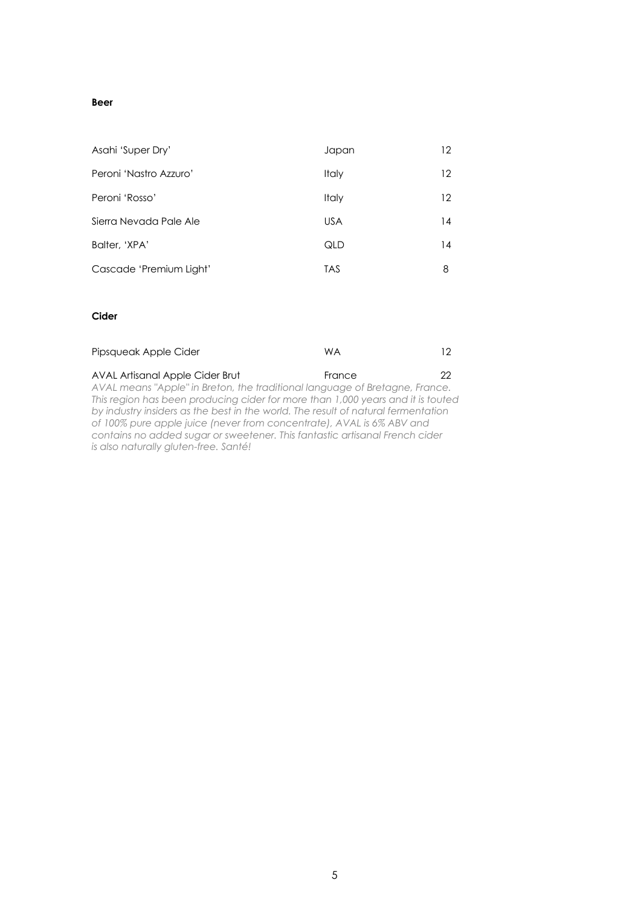# **Beer**

| Asahi 'Super Dry'       | Japan        | 12 |
|-------------------------|--------------|----|
| Peroni 'Nastro Azzuro'  | <b>Italy</b> | 12 |
| Peroni 'Rosso'          | <b>Italy</b> | 12 |
| Sierra Nevada Pale Ale  | <b>USA</b>   | 14 |
| Balter, 'XPA'           | QLD          | 14 |
| Cascade 'Premium Light' | TAS          | 8  |

# **Cider**

| Pipsqueak Apple Cider                                                           | <b>WA</b> | 12. |
|---------------------------------------------------------------------------------|-----------|-----|
| AVAL Artisanal Apple Cider Brut                                                 | France    | つつ  |
| AVAL means "Apple" in Breton, the traditional language of Bretagne, France.     |           |     |
| This region has been producing cider for more than 1,000 years and it is touted |           |     |

*This region has been producing cider for more than 1,000 years and it is touted by industry insiders as the best in the world. The result of natural fermentation of 100% pure apple juice (never from concentrate), AVAL is 6% ABV and contains no added sugar or sweetener. This fantastic artisanal French cider is also naturally gluten-free. Santé!*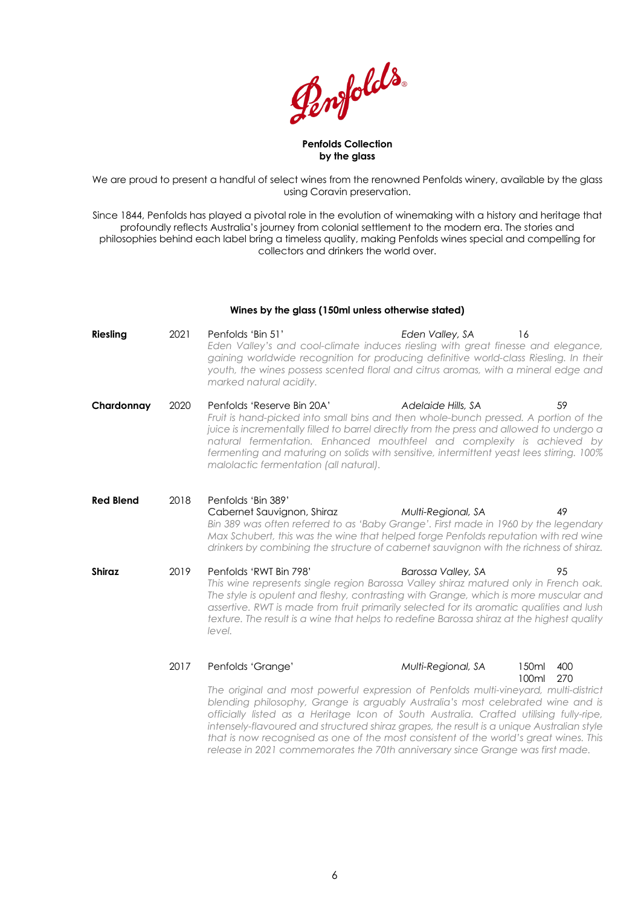Penfolds.

#### **Penfolds Collection by the glass**

We are proud to present a handful of select wines from the renowned Penfolds winery, available by the glass using Coravin preservation.

Since 1844, Penfolds has played a pivotal role in the evolution of winemaking with a history and heritage that profoundly reflects Australia's journey from colonial settlement to the modern era. The stories and philosophies behind each label bring a timeless quality, making Penfolds wines special and compelling for collectors and drinkers the world over.

#### **Wines by the glass (150ml unless otherwise stated)**

| <b>Riesling</b>  | 2021 | Penfolds 'Bin 51'<br>Eden Valley's and cool-climate induces riesling with great finesse and elegance,<br>gaining worldwide recognition for producing definitive world-class Riesling. In their<br>youth, the wines possess scented floral and citrus aromas, with a mineral edge and<br>marked natural acidity.                                                                                                                                                                                                                                                | Eden Valley, SA<br>16                |            |
|------------------|------|----------------------------------------------------------------------------------------------------------------------------------------------------------------------------------------------------------------------------------------------------------------------------------------------------------------------------------------------------------------------------------------------------------------------------------------------------------------------------------------------------------------------------------------------------------------|--------------------------------------|------------|
| Chardonnay       | 2020 | Penfolds 'Reserve Bin 20A'<br>Fruit is hand-picked into small bins and then whole-bunch pressed. A portion of the<br>juice is incrementally filled to barrel directly from the press and allowed to undergo a<br>natural fermentation. Enhanced mouthfeel and complexity is achieved by<br>fermenting and maturing on solids with sensitive, intermittent yeast lees stirring. 100%<br>malolactic fermentation (all natural).                                                                                                                                  | Adelaide Hills, SA                   | 59         |
| <b>Red Blend</b> | 2018 | Penfolds 'Bin 389'<br>Cabernet Sauvignon, Shiraz<br>Bin 389 was often referred to as 'Baby Grange'. First made in 1960 by the legendary<br>Max Schubert, this was the wine that helped forge Penfolds reputation with red wine<br>drinkers by combining the structure of cabernet sauvignon with the richness of shiraz.                                                                                                                                                                                                                                       | Multi-Regional, SA                   | 49         |
| <b>Shiraz</b>    | 2019 | Penfolds 'RWT Bin 798'<br>This wine represents single region Barossa Valley shiraz matured only in French oak.<br>The style is opulent and fleshy, contrasting with Grange, which is more muscular and<br>assertive. RWT is made from fruit primarily selected for its aromatic qualities and lush<br>texture. The result is a wine that helps to redefine Barossa shiraz at the highest quality<br>level.                                                                                                                                                     | Barossa Valley, SA                   | 95         |
|                  | 2017 | Penfolds 'Grange'<br>The original and most powerful expression of Penfolds multi-vineyard, multi-district<br>blending philosophy, Grange is arguably Australia's most celebrated wine and is<br>officially listed as a Heritage Icon of South Australia. Crafted utilising fully-ripe,<br>intensely-flavoured and structured shiraz grapes, the result is a unique Australian style<br>that is now recognised as one of the most consistent of the world's great wines. This<br>release in 2021 commemorates the 70th anniversary since Grange was first made. | Multi-Regional, SA<br>150ml<br>100ml | 400<br>270 |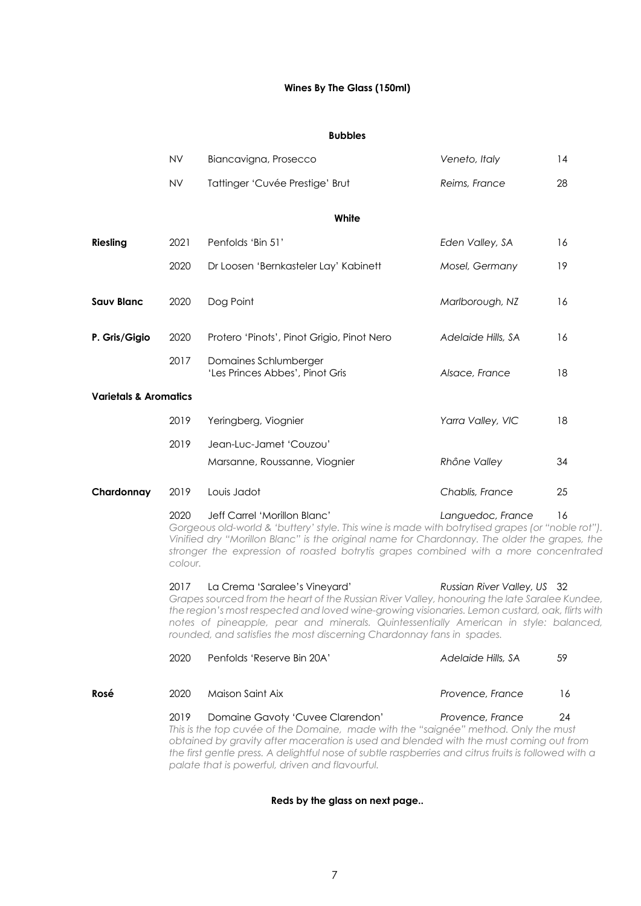# **Wines By The Glass (150ml)**

#### **Bubbles**

|                                  | <b>NV</b>       | Biancavigna, Prosecco                                                                                                                                                                                                                                                                                                                                                                              | Veneto, Italy               | 14 |
|----------------------------------|-----------------|----------------------------------------------------------------------------------------------------------------------------------------------------------------------------------------------------------------------------------------------------------------------------------------------------------------------------------------------------------------------------------------------------|-----------------------------|----|
|                                  | <b>NV</b>       | Tattinger 'Cuvée Prestige' Brut                                                                                                                                                                                                                                                                                                                                                                    | Reims, France               | 28 |
|                                  |                 | White                                                                                                                                                                                                                                                                                                                                                                                              |                             |    |
|                                  |                 |                                                                                                                                                                                                                                                                                                                                                                                                    |                             |    |
| <b>Riesling</b>                  | 2021            | Penfolds 'Bin 51'                                                                                                                                                                                                                                                                                                                                                                                  | Eden Valley, SA             | 16 |
|                                  | 2020            | Dr Loosen 'Bernkasteler Lay' Kabinett                                                                                                                                                                                                                                                                                                                                                              | Mosel, Germany              | 19 |
| <b>Sauv Blanc</b>                | 2020            | Dog Point                                                                                                                                                                                                                                                                                                                                                                                          | Marlborough, NZ             | 16 |
| P. Gris/Gigio                    | 2020            | Protero 'Pinots', Pinot Grigio, Pinot Nero                                                                                                                                                                                                                                                                                                                                                         | Adelaide Hills, SA          | 16 |
|                                  | 2017            | Domaines Schlumberger<br>'Les Princes Abbes', Pinot Gris                                                                                                                                                                                                                                                                                                                                           | Alsace, France              | 18 |
| <b>Varietals &amp; Aromatics</b> |                 |                                                                                                                                                                                                                                                                                                                                                                                                    |                             |    |
|                                  | 2019            | Yeringberg, Viognier                                                                                                                                                                                                                                                                                                                                                                               | Yarra Valley, VIC           | 18 |
|                                  | 2019            | Jean-Luc-Jamet 'Couzou'                                                                                                                                                                                                                                                                                                                                                                            |                             |    |
|                                  |                 | Marsanne, Roussanne, Viognier                                                                                                                                                                                                                                                                                                                                                                      | Rhône Valley                | 34 |
| Chardonnay                       | 2019            | Louis Jadot                                                                                                                                                                                                                                                                                                                                                                                        | Chablis, France             | 25 |
|                                  | 2020<br>colour. | Jeff Carrel 'Morillon Blanc'<br>Gorgeous old-world & 'buttery' style. This wine is made with botrytised grapes (or "noble rot").<br>Vinified dry "Morillon Blanc" is the original name for Chardonnay. The older the grapes, the<br>stronger the expression of roasted botrytis grapes combined with a more concentrated                                                                           | Languedoc, France           | 16 |
|                                  | 2017            | La Crema 'Saralee's Vineyard'<br>Grapes sourced from the heart of the Russian River Valley, honouring the late Saralee Kundee,<br>the region's most respected and loved wine-growing visionaries. Lemon custard, oak, flirts with<br>notes of pineapple, pear and minerals. Quintessentially American in style: balanced,<br>rounded, and satisfies the most discerning Chardonnay fans in spades. | Russian River Valley, US 32 |    |
|                                  | 2020            | Penfolds 'Reserve Bin 20A'                                                                                                                                                                                                                                                                                                                                                                         | Adelaide Hills, SA          | 59 |
| Rosé                             | 2020            | Maison Saint Aix                                                                                                                                                                                                                                                                                                                                                                                   | Provence, France            | 16 |
|                                  | 2019            | Domaine Gavoty 'Cuvee Clarendon'<br>This is the top cuvée of the Domaine, made with the "saignée" method. Only the must<br>obtained by gravity after maceration is used and blended with the must coming out from<br>the first gentle press. A delightful nose of subtle raspberries and citrus fruits is followed with a<br>palate that is powerful, driven and flavourful.                       | Provence, France            | 24 |

# **Reds by the glass on next page..**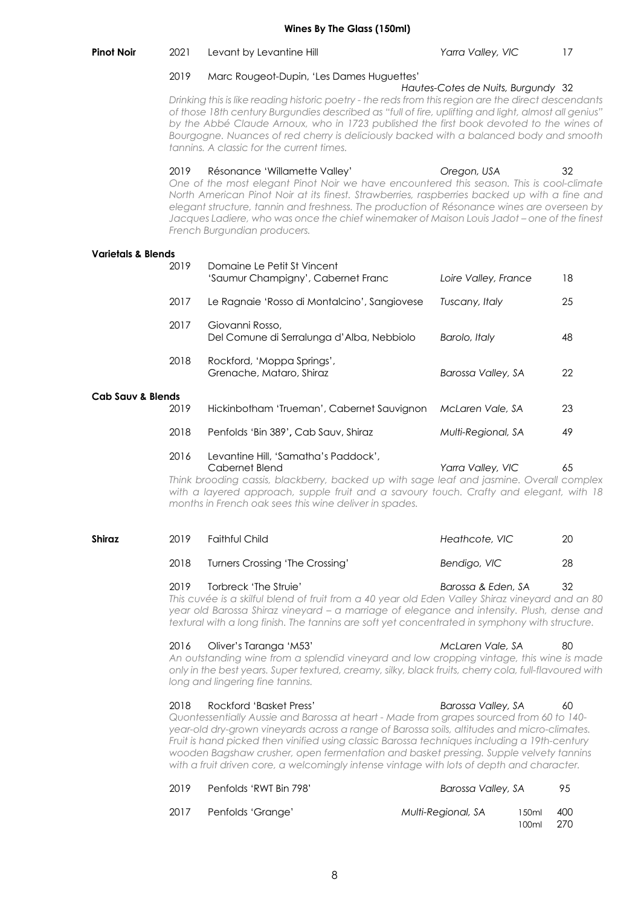#### **Pinot Noir** 2021 Levant by Levantine Hill *Yarra Valley, VIC* 17

#### 2019 Marc Rougeot-Dupin, 'Les Dames Huguettes'

*Hautes-Cotes de Nuits, Burgundy* 32 *Drinking this is like reading historic poetry - the reds from this region are the direct descendants of those 18th century Burgundies described as "full of fire, uplifting and light, almost all genius" by the Abbé Claude Arnoux, who in 1723 published the first book devoted to the wines of Bourgogne. Nuances of red cherry is deliciously backed with a balanced body and smooth tannins. A classic for the current times.* 

2019 Résonance 'Willamette Valley' *Oregon, USA* 32 *One of the most elegant Pinot Noir we have encountered this season. This is cool-climate North American Pinot Noir at its finest. Strawberries, raspberries backed up with a fine and elegant structure, tannin and freshness. The production of Résonance wines are overseen by Jacques Ladiere, who was once the chief winemaker of Maison Louis Jadot – one of the finest French Burgundian producers.*

#### **Varietals & Blends**

|                              | 2019 | Domaine Le Petit St Vincent<br>'Saumur Champigny', Cabernet Franc                                                                                                                                                                                                                                      | Loire Valley, France | 18 |
|------------------------------|------|--------------------------------------------------------------------------------------------------------------------------------------------------------------------------------------------------------------------------------------------------------------------------------------------------------|----------------------|----|
|                              | 2017 | Le Ragnaie 'Rosso di Montalcino', Sangiovese                                                                                                                                                                                                                                                           | Tuscany, Italy       | 25 |
|                              | 2017 | Giovanni Rosso,<br>Del Comune di Serralunga d'Alba, Nebbiolo                                                                                                                                                                                                                                           | Barolo, Italy        | 48 |
|                              | 2018 | Rockford, 'Moppa Springs',<br>Grenache, Mataro, Shiraz                                                                                                                                                                                                                                                 | Barossa Valley, SA   | 22 |
| <b>Cab Sauv &amp; Blends</b> | 2019 | Hickinbotham 'Trueman', Cabernet Sauvignon                                                                                                                                                                                                                                                             | McLaren Vale, SA     | 23 |
|                              | 2018 | Penfolds 'Bin 389', Cab Sauv, Shiraz                                                                                                                                                                                                                                                                   | Multi-Regional, SA   | 49 |
|                              | 2016 | Levantine Hill, 'Samatha's Paddock',<br>Cabernet Blend<br>Think brooding cassis, blackberry, backed up with sage leaf and jasmine. Overall complex<br>with a layered approach, supple fruit and a savoury touch. Crafty and elegant, with 18<br>months in French oak sees this wine deliver in spades. | Yarra Valley, VIC    | 65 |

| Shiraz | 2019 | Faithful Child                  | Heathcote, VIC | 20 |
|--------|------|---------------------------------|----------------|----|
|        | 2018 | Turners Crossing 'The Crossing' | Bendigo, VIC   | 28 |

2019 Torbreck 'The Struie' *Barossa & Eden, SA* 32 *This cuvée is a skilful blend of fruit from a 40 year old Eden Valley Shiraz vineyard and an 80 year old Barossa Shiraz vineyard – a marriage of elegance and intensity. Plush, dense and textural with a long finish. The tannins are soft yet concentrated in symphony with structure.*

2016 Oliver's Taranga 'M53' *McLaren Vale, SA* 80 *An outstanding wine from a splendid vineyard and low cropping vintage, this wine is made only in the best years. Super textured, creamy, silky, black fruits, cherry cola, full-flavoured with long and lingering fine tannins.*

#### 2018 Rockford 'Basket Press' *Barossa Valley, SA* 60 *Quontessentially Aussie and Barossa at heart - Made from grapes sourced from 60 to 140 year-old dry-grown vineyards across a range of Barossa soils, altitudes and micro-climates. Fruit is hand picked then vinified using classic Barossa techniques including a 19th-century wooden Bagshaw crusher, open fermentation and basket pressing. Supple velvety tannins with a fruit driven core, a welcomingly intense vintage with lots of depth and character.*

| 2019 | Penfolds 'RWT Bin 798' | Barossa Valley, SA |                        | 95  |
|------|------------------------|--------------------|------------------------|-----|
| 2017 | Penfolds 'Grange'      | Multi-Regional, SA | 150ml<br>$100ml$ $270$ | 400 |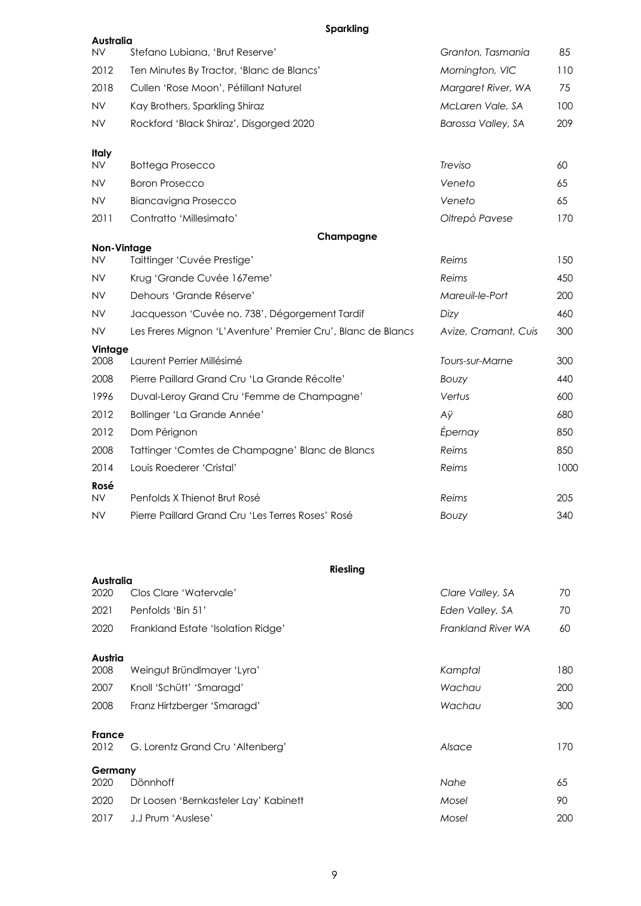# **Sparkling**

| Australia                       |                                                              |                      |      |
|---------------------------------|--------------------------------------------------------------|----------------------|------|
| ΝV                              | Stefano Lubiana, 'Brut Reserve'                              | Granton, Tasmania    | 85   |
| 2012                            | Ten Minutes By Tractor, 'Blanc de Blancs'                    | Mornington, VIC      | 110  |
| 2018                            | Cullen 'Rose Moon', Pétillant Naturel                        | Margaret River, WA   | 75   |
| <b>NV</b>                       | Kay Brothers, Sparkling Shiraz                               | McLaren Vale, SA     | 100  |
| <b>NV</b>                       | Rockford 'Black Shiraz', Disgorged 2020                      | Barossa Valley, SA   | 209  |
| <b>Italy</b>                    |                                                              |                      |      |
| <b>NV</b>                       | <b>Bottega Prosecco</b>                                      | Treviso              | 60   |
| NV                              | <b>Boron Prosecco</b>                                        | Veneto               | 65   |
| <b>NV</b>                       | <b>Biancavigna Prosecco</b>                                  | Veneto               | 65   |
| 2011                            | Contratto 'Millesimato'                                      | Oltrepò Pavese       | 170  |
|                                 | Champagne                                                    |                      |      |
| <b>Non-Vintage</b><br><b>NV</b> | Taittinger 'Cuvée Prestige'                                  | Reims                | 150  |
| <b>NV</b>                       | Krug 'Grande Cuvée 167eme'                                   | Reims                | 450  |
| <b>NV</b>                       | Dehours 'Grande Réserve'                                     | Mareuil-le-Port      | 200  |
| ΝV                              | Jacquesson 'Cuvée no. 738', Dégorgement Tardif               | Dizy                 | 460  |
| <b>NV</b>                       | Les Freres Mignon 'L'Aventure' Premier Cru', Blanc de Blancs | Avize, Cramant, Cuis | 300  |
| Vintage<br>2008                 | Laurent Perrier Millésimé                                    | Tours-sur-Marne      | 300  |
| 2008                            | Pierre Paillard Grand Cru 'La Grande Récolte'                | Bouzy                | 440  |
| 1996                            | Duval-Leroy Grand Cru 'Femme de Champagne'                   | Vertus               | 600  |
|                                 |                                                              |                      |      |
| 2012                            | Bollinger 'La Grande Année'                                  | Aÿ                   | 680  |
| 2012                            | Dom Pérignon                                                 | Épernay              | 850  |
| 2008                            | Tattinger 'Comtes de Champagne' Blanc de Blancs              | Reims                | 850  |
| 2014                            | Louis Roederer 'Cristal'                                     | Reims                | 1000 |
| Rosé                            |                                                              |                      |      |
| <b>NV</b>                       | Penfolds X Thienot Brut Rosé                                 | Reims                | 205  |
| <b>NV</b>                       | Pierre Paillard Grand Cru 'Les Terres Roses' Rosé            | <b>BOUZY</b>         | 340  |

|               |                                       | <b>Riesling</b>  |                                 |
|---------------|---------------------------------------|------------------|---------------------------------|
| Australia     |                                       |                  |                                 |
| 2020          | Clos Clare 'Watervale'                | Clare Valley, SA | 70                              |
| 2021          | Penfolds 'Bin 51'                     | Eden Valley, SA  | 70                              |
| 2020          | Frankland Estate 'Isolation Ridge'    |                  | <b>Frankland River WA</b><br>60 |
| Austria       |                                       |                  |                                 |
| 2008          | Weingut Bründlmayer 'Lyra'            | Kamptal          | 180                             |
| 2007          | Knoll 'Schütt' 'Smaragd'              | Wachau           | 200                             |
| 2008          | Franz Hirtzberger 'Smaragd'           | Wachau           | 300                             |
| <b>France</b> |                                       |                  |                                 |
| 2012          | G. Lorentz Grand Cru 'Altenberg'      | Alsace           | 170                             |
| Germany       |                                       |                  |                                 |
| 2020          | Dönnhoff                              | Nahe             | 65                              |
| 2020          | Dr Loosen 'Bernkasteler Lay' Kabinett | Mosel            | 90                              |
| 2017          | J.J Prum 'Auslese'                    | Mosel            | 200                             |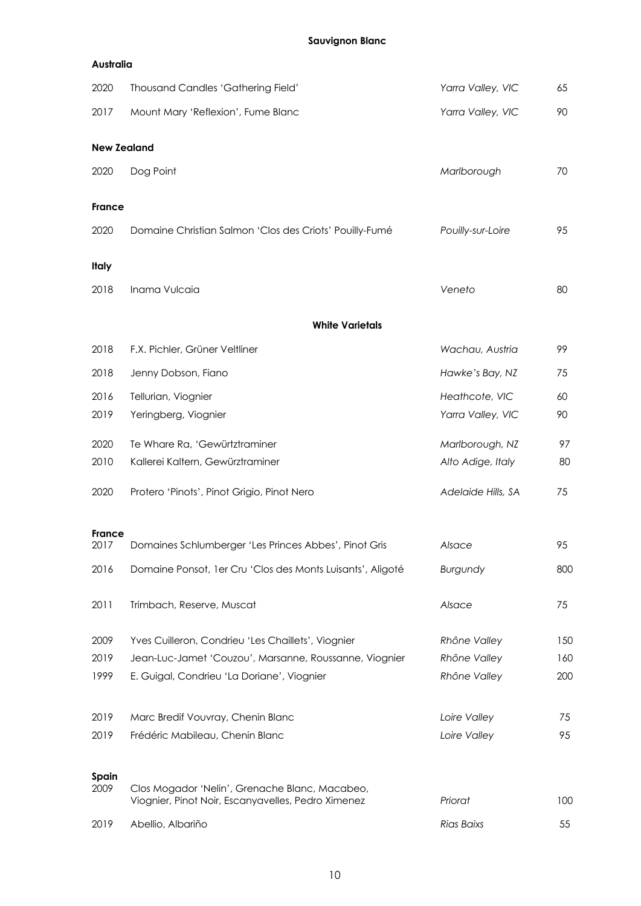# **Sauvignon Blanc**

| <b>Australia</b> |                                                                                                      |                    |            |
|------------------|------------------------------------------------------------------------------------------------------|--------------------|------------|
| 2020             | Thousand Candles 'Gathering Field'                                                                   | Yarra Valley, VIC  | 65         |
| 2017             | Mount Mary 'Reflexion', Fume Blanc                                                                   | Yarra Valley, VIC  | 90         |
|                  | <b>New Zealand</b>                                                                                   |                    |            |
| 2020             | Dog Point                                                                                            | Marlborough        | 70         |
| <b>France</b>    |                                                                                                      |                    |            |
| 2020             | Domaine Christian Salmon 'Clos des Criots' Pouilly-Fumé                                              | Pouilly-sur-Loire  | 95         |
| Italy            |                                                                                                      |                    |            |
| 2018             | Inama Vulcaia                                                                                        | Veneto             | 80         |
|                  | <b>White Varietals</b>                                                                               |                    |            |
| 2018             | F.X. Pichler, Grüner Veltliner                                                                       | Wachau, Austria    | 99         |
| 2018             | Jenny Dobson, Fiano                                                                                  | Hawke's Bay, NZ    | 75         |
| 2016             | Tellurian, Viognier                                                                                  | Heathcote, VIC     | 60         |
| 2019             | Yeringberg, Viognier                                                                                 | Yarra Valley, VIC  | 90         |
| 2020             | Te Whare Ra, 'Gewürtztraminer                                                                        | Marlborough, NZ    | 97         |
| 2010             | Kallerei Kaltern, Gewürztraminer                                                                     | Alto Adige, Italy  | 80         |
| 2020             | Protero 'Pinots', Pinot Grigio, Pinot Nero                                                           | Adelaide Hills, SA | 75         |
| <b>France</b>    |                                                                                                      |                    |            |
| 2017             | Domaines Schlumberger 'Les Princes Abbes', Pinot Gris                                                | Alsace             | 95         |
| 2016             | Domaine Ponsot, 1 er Cru 'Clos des Monts Luisants', Aligoté                                          | Burgundy           | 80C        |
| 2011             | Trimbach, Reserve, Muscat                                                                            | Alsace             | 75         |
| 2009             | Yves Cuilleron, Condrieu 'Les Chaillets', Viognier                                                   | Rhône Valley       | 15C        |
| 2019             | Jean-Luc-Jamet 'Couzou', Marsanne, Roussanne, Viognier                                               | Rhône Valley       | 16C        |
| 1999             | E. Guigal, Condrieu 'La Doriane', Viognier                                                           | Rhône Valley       | <b>200</b> |
| 2019             | Marc Bredif Vouvray, Chenin Blanc                                                                    | Loire Valley       | 75         |
| 2019             | Frédéric Mabileau, Chenin Blanc                                                                      | Loire Valley       | 95         |
| Spain            |                                                                                                      |                    |            |
| 2009             | Clos Mogador 'Nelin', Grenache Blanc, Macabeo,<br>Viognier, Pinot Noir, Escanyavelles, Pedro Ximenez | Priorat            | <b>100</b> |
| 2019             | Abellio, Albariño                                                                                    | Rias Baixs         | 55         |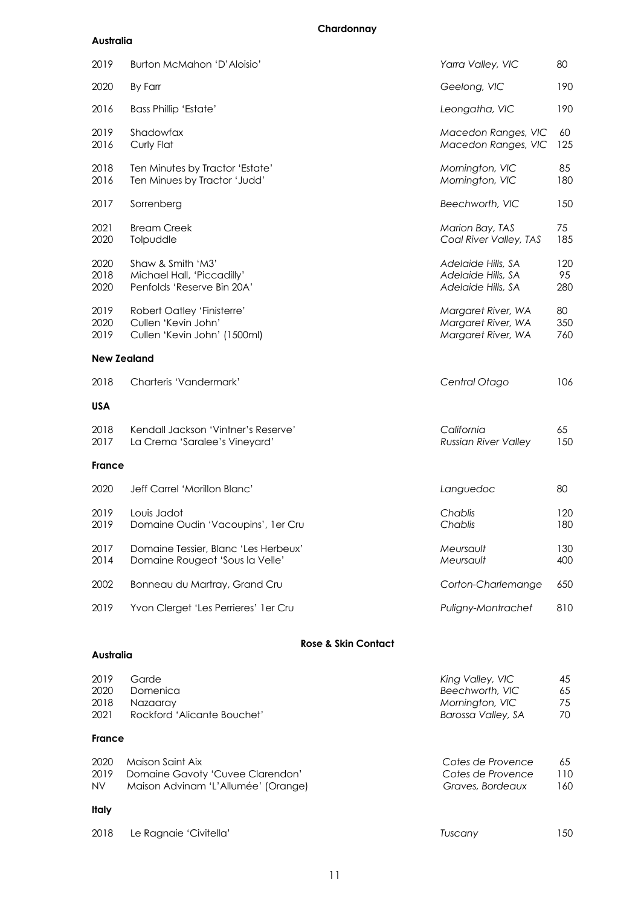# **Chardonnay**

# **Australia**

| Burton McMahon 'D'Aloisio'                                                        | Yarra Valley, VIC                                              | 80               |
|-----------------------------------------------------------------------------------|----------------------------------------------------------------|------------------|
| By Farr                                                                           | Geelong, VIC                                                   | 190              |
| <b>Bass Phillip 'Estate'</b>                                                      | Leongatha, VIC                                                 | 190              |
| Shadowfax<br>Curly Flat                                                           | Macedon Ranges, VIC<br>Macedon Ranges, VIC                     | 60<br>125        |
| Ten Minutes by Tractor 'Estate'<br>Ten Minues by Tractor 'Judd'                   | Mornington, VIC<br>Mornington, VIC                             | 85<br>180        |
| Sorrenberg                                                                        | Beechworth, VIC                                                | 150              |
| <b>Bream Creek</b><br>Tolpuddle                                                   | Marion Bay, TAS<br>Coal River Valley, TAS                      | 75<br>185        |
| Shaw & Smith 'M3'<br>Michael Hall, 'Piccadilly'<br>Penfolds 'Reserve Bin 20A'     | Adelaide Hills, SA<br>Adelaide Hills, SA<br>Adelaide Hills, SA | 120<br>95<br>280 |
| Robert Oatley 'Finisterre'<br>Cullen 'Kevin John'<br>Cullen 'Kevin John' (1500ml) | Margaret River, WA<br>Margaret River, WA<br>Margaret River, WA | 80<br>350<br>760 |
|                                                                                   |                                                                |                  |
| Charteris 'Vandermark'                                                            | Central Otago                                                  | 106              |
|                                                                                   |                                                                |                  |
| Kendall Jackson 'Vintner's Reserve'<br>La Crema 'Saralee's Vineyard'              | California<br><b>Russian River Valley</b>                      | 65<br>150        |
|                                                                                   |                                                                |                  |
| Jeff Carrel 'Morillon Blanc'                                                      | Languedoc                                                      | 80               |
| Louis Jadot<br>Domaine Oudin 'Vacoupins', 1er Cru                                 | Chablis<br>Chablis                                             | 120<br>180       |
| Domaine Tessier, Blanc 'Les Herbeux'<br>Domaine Rougeot 'Sous la Velle'           | Meursault<br>Meursault                                         | 130<br>400       |
| Bonneau du Martray, Grand Cru                                                     | Corton-Charlemange                                             | 650              |
| Yvon Clerget 'Les Perrieres' 1er Cru                                              | Puligny-Montrachet                                             | 810              |
|                                                                                   | <b>New Zealand</b>                                             |                  |

# **Rose & Skin Contact**

#### **Australia**

| 2019          | Garde                               | King Valley, VIC   | 45  |
|---------------|-------------------------------------|--------------------|-----|
| 2020          | Domenica                            | Beechworth, VIC    | 65  |
| 2018          | Nazaaray                            | Mornington, VIC    | 75  |
| 2021          | Rockford 'Alicante Bouchet'         | Barossa Valley, SA | 70  |
| <b>France</b> |                                     |                    |     |
| 2020          | Maison Saint Aix                    | Cotes de Provence  | 65  |
| 2019          | Domaine Gavoty 'Cuvee Clarendon'    | Cotes de Provence  | 110 |
| NV            | Maison Advinam 'L'Allumée' (Orange) | Graves, Bordeaux   | 160 |
| Italy         |                                     |                    |     |
|               |                                     |                    |     |

| 2018 Le Ragnaie 'Civitella' | Tuscany | 150 |
|-----------------------------|---------|-----|
|-----------------------------|---------|-----|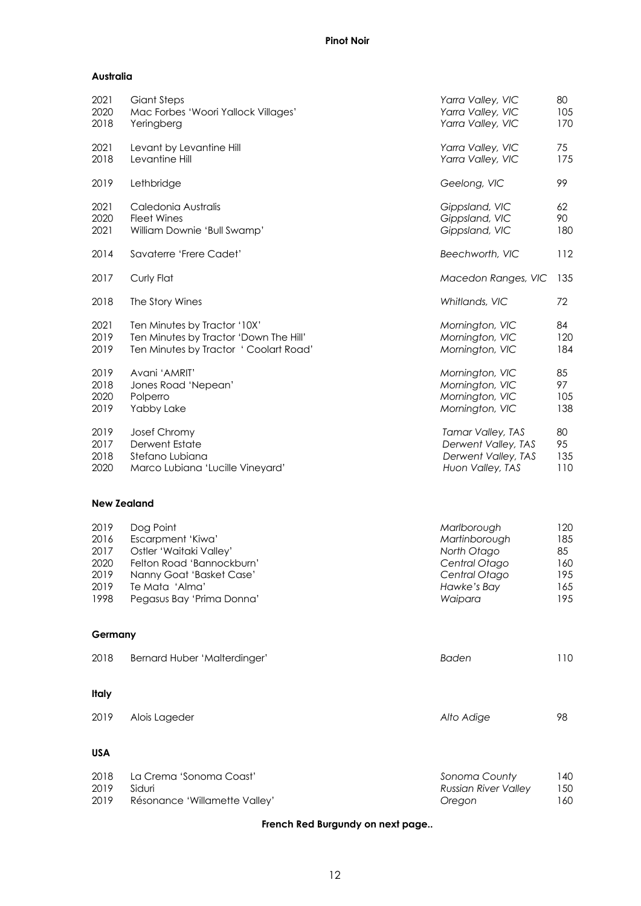# **Australia**

| 2021 | Giant Steps                            | Yarra Valley, VIC   | 80  |
|------|----------------------------------------|---------------------|-----|
| 2020 | Mac Forbes 'Woori Yallock Villages'    | Yarra Valley, VIC   | 105 |
| 2018 | Yeringberg                             | Yarra Valley, VIC   | 170 |
| 2021 | Levant by Levantine Hill               | Yarra Valley, VIC   | 75  |
| 2018 | Levantine Hill                         | Yarra Valley, VIC   | 175 |
| 2019 | Lethbridge                             | Geelong, VIC        | 99  |
| 2021 | Caledonia Australis                    | Gippsland, VIC      | 62  |
| 2020 | <b>Fleet Wines</b>                     | Gippsland, VIC      | 90  |
| 2021 | William Downie 'Bull Swamp'            | Gippsland, VIC      | 180 |
| 2014 | Savaterre 'Frere Cadet'                | Beechworth, VIC     | 112 |
| 2017 | Curly Flat                             | Macedon Ranges, VIC | 135 |
| 2018 | The Story Wines                        | Whitlands, VIC      | 72  |
| 2021 | Ten Minutes by Tractor '10X'           | Mornington, VIC     | 84  |
| 2019 | Ten Minutes by Tractor 'Down The Hill' | Mornington, VIC     | 120 |
| 2019 | Ten Minutes by Tractor ' Coolart Road' | Mornington, VIC     | 184 |
| 2019 | Avani 'AMRIT'                          | Mornington, VIC     | 85  |
| 2018 | Jones Road 'Nepean'                    | Mornington, VIC     | 97  |
| 2020 | Polperro                               | Mornington, VIC     | 105 |
| 2019 | Yabby Lake                             | Mornington, VIC     | 138 |
| 2019 | Josef Chromy                           | Tamar Valley, TAS   | 80  |
| 2017 | <b>Derwent Estate</b>                  | Derwent Valley, TAS | 95  |
| 2018 | Stefano Lubiana                        | Derwent Valley, TAS | 135 |
| 2020 | Marco Lubiana 'Lucille Vineyard'       | Huon Valley, TAS    | 110 |

# **New Zealand**

| 2019 | Dog Point                 | Marlborough   | 120 |
|------|---------------------------|---------------|-----|
| 2016 | Escarpment 'Kiwa'         | Martinborough | 185 |
| 2017 | Ostler 'Waitaki Valley'   | North Otago   | 85  |
| 2020 | Felton Road 'Bannockburn' | Central Otago | 160 |
| 2019 | Nanny Goat 'Basket Case'  | Central Otago | 195 |
| 2019 | Te Mata 'Alma'            | Hawke's Bay   | 165 |
| 1998 | Pegasus Bay 'Prima Donna' | Waipara       | 195 |

# **Germany**

| 2018         | <b>Bernard Huber 'Malterdinger'</b> | Baden      | 110 |
|--------------|-------------------------------------|------------|-----|
| <b>Italy</b> |                                     |            |     |
| 2019         | Alois Lageder                       | Alto Adige | 98  |

# **USA**

| 2018 | La Crema 'Sonoma Coast'       | Sonoma County        | 140 |
|------|-------------------------------|----------------------|-----|
| 2019 | Siduri                        | Russian River Valley | 150 |
| 2019 | Résonance 'Willamette Valley' | Oreaon               | 160 |

# **French Red Burgundy on next page..**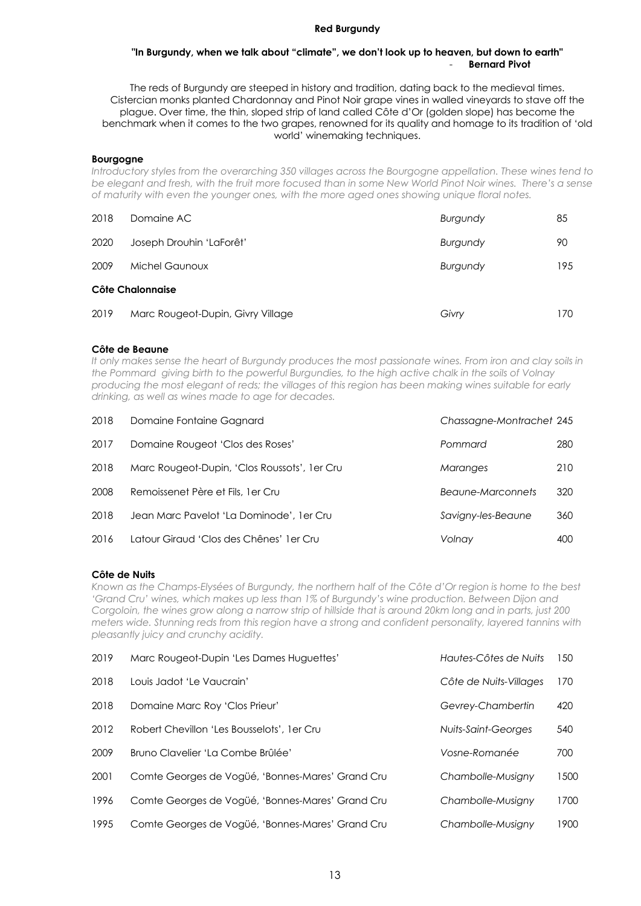#### **Red Burgundy**

#### **"In Burgundy, when we talk about "climate", we don't look up to heaven, but down to earth"** - **Bernard Pivot**

The reds of Burgundy are steeped in history and tradition, dating back to the medieval times. Cistercian monks planted Chardonnay and Pinot Noir grape vines in walled vineyards to stave off the plague. Over time, the thin, sloped strip of land called Côte d'Or (golden slope) has become the benchmark when it comes to the two grapes, renowned for its quality and homage to its tradition of 'old world' winemaking techniques.

#### **Bourgogne**

*Introductory styles from the overarching 350 villages across the Bourgogne appellation. These wines tend to be elegant and fresh, with the fruit more focused than in some New World Pinot Noir wines. There's a sense of maturity with even the younger ones, with the more aged ones showing unique floral notes.*

| 2018             | Domaine AC                        | Burgundy        | 85  |  |
|------------------|-----------------------------------|-----------------|-----|--|
| 2020             | Joseph Drouhin 'LaForêt'          | <b>Burgundy</b> | 90  |  |
| 2009             | Michel Gaunoux                    | <b>Burgundy</b> | 195 |  |
| Côte Chalonnaise |                                   |                 |     |  |
| 2019             | Marc Rougeot-Dupin, Givry Village | Givry           | 170 |  |

# **Côte de Beaune**

*It only makes sense the heart of Burgundy produces the most passionate wines. From iron and clay soils in the Pommard giving birth to the powerful Burgundies, to the high active chalk in the soils of Volnay producing the most elegant of reds; the villages of this region has been making wines suitable for early drinking, as well as wines made to age for decades.*

| 2018 | Domaine Fontaine Gagnard                     | Chassagne-Montrachet 245 |     |
|------|----------------------------------------------|--------------------------|-----|
| 2017 | Domaine Rougeot 'Clos des Roses'             | Pommard                  | 280 |
| 2018 | Marc Rougeot-Dupin, 'Clos Roussots', 1er Cru | <b>Maranges</b>          | 210 |
| 2008 | Remoissenet Père et Fils, 1 er Cru           | Beaune-Marconnets        | 320 |
| 2018 | Jean Marc Pavelot 'La Dominode', 1er Cru     | Savigny-les-Beaune       | 360 |
| 2016 | Latour Giraud 'Clos des Chênes' 1 er Cru     | Volnay                   | 400 |

# **Côte de Nuits**

*Known as the Champs-Elysées of Burgundy, the northern half of the Côte d'Or region is home to the best 'Grand Cru' wines, which makes up less than 1% of Burgundy's wine production. Between Dijon and Corgoloin, the wines grow along a narrow strip of hillside that is around 20km long and in parts, just 200 meters wide. Stunning reds from this region have a strong and confident personality, layered tannins with pleasantly juicy and crunchy acidity.*

| 2019 | Marc Rougeot-Dupin 'Les Dames Huguettes'         | Hautes-Côtes de Nuits  | 150  |
|------|--------------------------------------------------|------------------------|------|
| 2018 | Louis Jadot 'Le Vaucrain'                        | Côte de Nuits-Villages | 170  |
| 2018 | Domaine Marc Roy 'Clos Prieur'                   | Gevrey-Chambertin      | 420  |
| 2012 | Robert Chevillon 'Les Bousselots', 1 er Cru      | Nuits-Saint-Georges    | 540  |
| 2009 | Bruno Clavelier 'La Combe Brûlée'                | Vosne-Romanée          | 700  |
| 2001 | Comte Georges de Vogüé, 'Bonnes-Mares' Grand Cru | Chambolle-Musiany      | 1500 |
| 1996 | Comte Georges de Vogüé, 'Bonnes-Mares' Grand Cru | Chambolle-Musiany      | 1700 |
| 1995 | Comte Georges de Vogüé, 'Bonnes-Mares' Grand Cru | Chambolle-Musiany      | 1900 |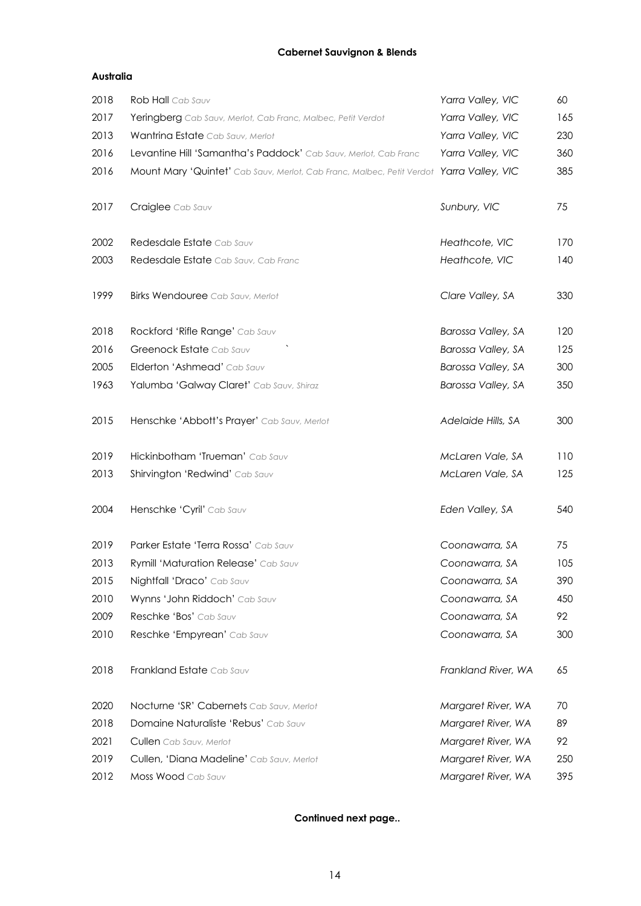# **Cabernet Sauvignon & Blends**

# **Australia**

| 2018 | Rob Hall Cab Sauv                                                                        | Yarra Valley, VIC   | 60  |
|------|------------------------------------------------------------------------------------------|---------------------|-----|
| 2017 | Yeringberg Cab Sauv, Merlot, Cab Franc, Malbec, Petit Verdot                             | Yarra Valley, VIC   | 165 |
| 2013 | Wantrina Estate Cab Sauv, Merlot                                                         | Yarra Valley, VIC   | 230 |
| 2016 | Levantine Hill 'Samantha's Paddock' Cab Sauv, Merlot, Cab Franc                          | Yarra Valley, VIC   | 360 |
| 2016 | Mount Mary 'Quintet' Cab Sauv, Merlot, Cab Franc, Malbec, Petit Verdot Yarra Valley, VIC |                     | 385 |
| 2017 | Craiglee Cab Sauv                                                                        | Sunbury, VIC        | 75  |
| 2002 | Redesdale Estate Cab Sauv                                                                | Heathcote, VIC      | 170 |
| 2003 | Redesdale Estate Cab Sauv, Cab Franc                                                     | Heathcote, VIC      | 140 |
| 1999 | <b>Birks Wendouree</b> Cab Sauv, Merlot                                                  | Clare Valley, SA    | 330 |
| 2018 | Rockford 'Rifle Range' Cab Sauv                                                          | Barossa Valley, SA  | 120 |
| 2016 | Greenock Estate Cab Sauv                                                                 | Barossa Valley, SA  | 125 |
| 2005 | Elderton 'Ashmead' Cab Sauv                                                              | Barossa Valley, SA  | 300 |
| 1963 | Yalumba 'Galway Claret' Cab Sauv, Shiraz                                                 | Barossa Valley, SA  | 350 |
| 2015 | Henschke 'Abbott's Prayer' Cab Sauv, Merlot                                              | Adelaide Hills, SA  | 300 |
| 2019 | Hickinbotham 'Trueman' Cab Sauv                                                          | McLaren Vale, SA    | 110 |
| 2013 | Shirvington 'Redwind' Cab Sauv                                                           | McLaren Vale, SA    | 125 |
| 2004 | Henschke 'Cyril' Cab Sauv                                                                | Eden Valley, SA     | 540 |
| 2019 | Parker Estate 'Terra Rossa' Cab Sauv                                                     | Coonawarra, SA      | 75  |
| 2013 | Rymill 'Maturation Release' Cab Sauv                                                     | Coonawarra, SA      | 105 |
| 2015 | Nightfall 'Draco' Cab Sauv                                                               | Coonawarra, SA      | 390 |
| 2010 | Wynns 'John Riddoch' Cab Sauv                                                            | Coonawarra, SA      | 450 |
| 2009 | Reschke 'Bos' Cab Sauv                                                                   | Coonawarra, SA      | 92  |
| 2010 | Reschke 'Empyrean' Cab Sauv                                                              | Coonawarra, SA      | 300 |
| 2018 | Frankland Estate Cab Sauv                                                                | Frankland River, WA | 65  |
| 2020 | Nocturne 'SR' Cabernets Cab Sauv, Merlot                                                 | Margaret River, WA  | 70  |
| 2018 | Domaine Naturaliste 'Rebus' Cab Sauv                                                     | Margaret River, WA  | 89  |
| 2021 | Cullen Cab Sauv, Merlot                                                                  | Margaret River, WA  | 92  |
| 2019 | Cullen, 'Diana Madeline' Cab Sauv, Merlot                                                | Margaret River, WA  | 250 |
| 2012 | Moss Wood Cab Sauv                                                                       | Margaret River, WA  | 395 |

# **Continued next page..**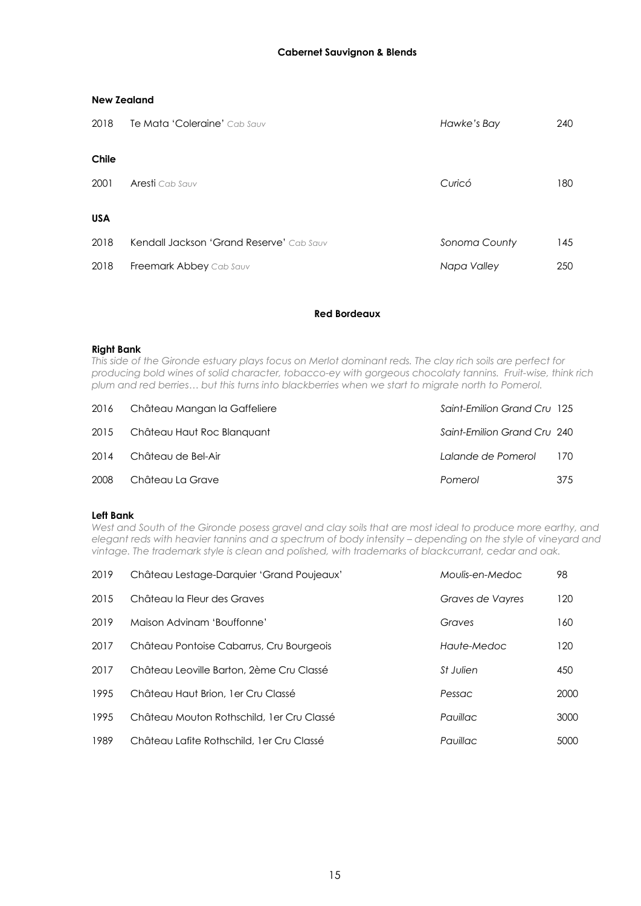| 2018       | Te Mata 'Coleraine' Cab Sauv             | Hawke's Bay   | 240 |
|------------|------------------------------------------|---------------|-----|
| Chile      |                                          |               |     |
| 2001       | <b>Aresti</b> Cab Sauv                   | Curicó        | 180 |
| <b>USA</b> |                                          |               |     |
| 2018       | Kendall Jackson 'Grand Reserve' Cab Sauv | Sonoma County | 145 |
| 2018       | Freemark Abbey Cab Sauv                  | Napa Valley   | 250 |

# **Red Bordeaux**

#### **Right Bank**

*This side of the Gironde estuary plays focus on Merlot dominant reds. The clay rich soils are perfect for producing bold wines of solid character, tobacco-ey with gorgeous chocolaty tannins. Fruit-wise, think rich plum and red berries… but this turns into blackberries when we start to migrate north to Pomerol.*

| 2016 | Château Mangan la Gaffeliere    | Saint-Emilion Grand Cru 125 |       |
|------|---------------------------------|-----------------------------|-------|
|      | 2015 Château Haut Roc Blanguant | Saint-Emilion Grand Cru 240 |       |
| 2014 | Château de Bel-Air              | Lalande de Pomerol          | - 170 |
| 2008 | Château La Grave                | Pomerol                     | 375   |

# **Left Bank**

*West and South of the Gironde posess gravel and clay soils that are most ideal to produce more earthy, and elegant reds with heavier tannins and a spectrum of body intensity – depending on the style of vineyard and vintage. The trademark style is clean and polished, with trademarks of blackcurrant, cedar and oak.*

| 2019 | Château Lestage-Darquier 'Grand Poujeaux'  | Moulis-en-Medoc         | 98   |
|------|--------------------------------------------|-------------------------|------|
| 2015 | Château la Fleur des Graves                | Graves de Vayres        | 120  |
| 2019 | Maison Advinam 'Bouffonne'                 | Graves                  | 160  |
| 2017 | Château Pontoise Cabarrus, Cru Bourgeois   | Haute-Medoc             | 120  |
| 2017 | Château Leoville Barton, 2ème Cru Classé   | <i><b>St Julien</b></i> | 450  |
| 1995 | Château Haut Brion, 1 er Cru Classé        | Pessac                  | 2000 |
| 1995 | Château Mouton Rothschild, 1 er Cru Classé | Pauillac                | 3000 |
| 1989 | Château Lafite Rothschild, 1 er Cru Classé | Pauillac                | 5000 |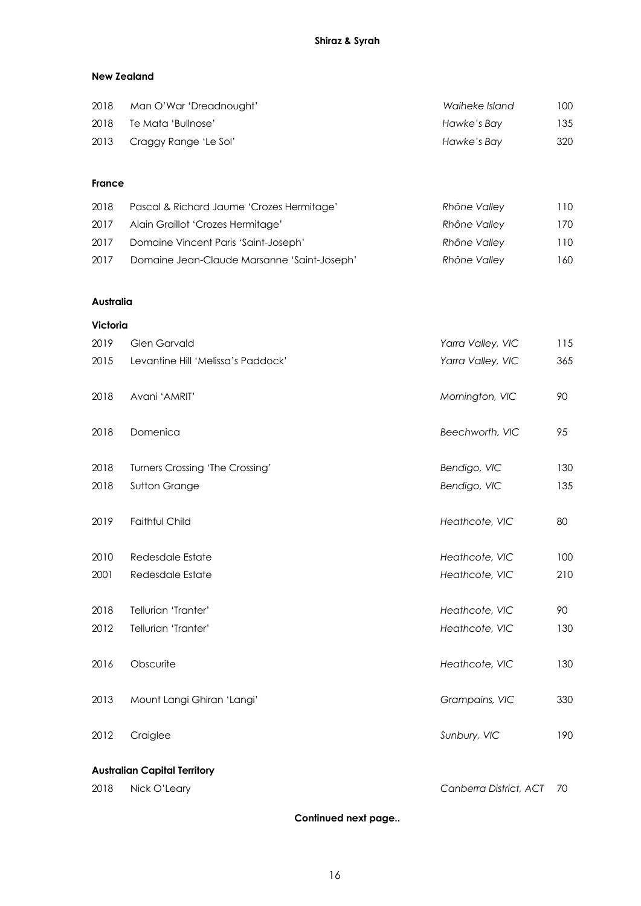# **New Zealand**

| 2018 | Man O'War 'Dreadnought'    | Waiheke Island | 100 |
|------|----------------------------|----------------|-----|
| 2018 | Te Mata 'Bullnose'         | Hawke's Bay    | 135 |
|      | 2013 Craggy Range 'Le Sol' | Hawke's Bay    | 320 |

# **France**

| 2018 | Pascal & Richard Jaume 'Crozes Hermitage'   | Rhône Valley | 110 |
|------|---------------------------------------------|--------------|-----|
| 2017 | Alain Graillot 'Crozes Hermitage'           | Rhône Valley | 170 |
| 2017 | Domaine Vincent Paris 'Saint-Joseph'        | Rhône Valley | 110 |
| 2017 | Domaine Jean-Claude Marsanne 'Saint-Joseph' | Rhône Valley | 160 |

# **Australia**

# **Victoria**

| 2019 | <b>Glen Garvald</b>                 | Yarra Valley, VIC | 115 |  |
|------|-------------------------------------|-------------------|-----|--|
| 2015 | Levantine Hill 'Melissa's Paddock'  | Yarra Valley, VIC | 365 |  |
| 2018 | Avani 'AMRIT'                       | Mornington, VIC   | 90  |  |
| 2018 | Domenica                            | Beechworth, VIC   | 95  |  |
| 2018 | Turners Crossing 'The Crossing'     | Bendigo, VIC      | 130 |  |
| 2018 | Sutton Grange                       | Bendigo, VIC      | 135 |  |
| 2019 | Faithful Child                      | Heathcote, VIC    | 80  |  |
| 2010 | Redesdale Estate                    | Heathcote, VIC    | 100 |  |
| 2001 | Redesdale Estate                    | Heathcote, VIC    | 210 |  |
| 2018 | Tellurian 'Tranter'                 | Heathcote, VIC    | 90  |  |
| 2012 | Tellurian 'Tranter'                 | Heathcote, VIC    | 130 |  |
| 2016 | Obscurite                           | Heathcote, VIC    | 130 |  |
| 2013 | Mount Langi Ghiran 'Langi'          | Grampains, VIC    | 330 |  |
| 2012 | Craiglee                            | Sunbury, VIC      | 190 |  |
|      | <b>Australian Capital Territory</b> |                   |     |  |

Nick O'Leary *Canberra District, ACT* 70

**Continued next page..**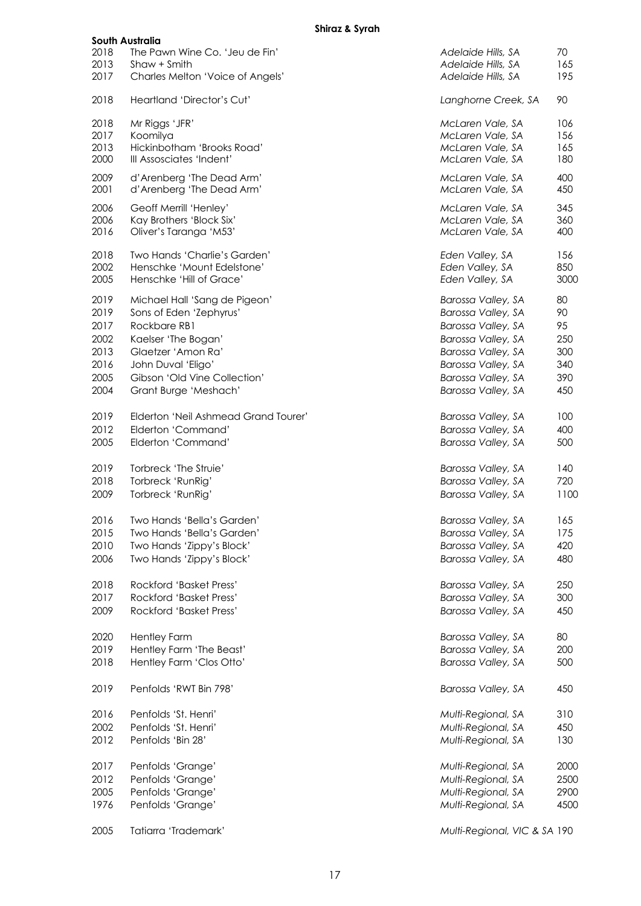# **Shiraz & Syrah**

|              | South Australia                                        |                                      |             |
|--------------|--------------------------------------------------------|--------------------------------------|-------------|
| 2018         | The Pawn Wine Co. 'Jeu de Fin'                         | Adelaide Hills, SA                   | 70          |
| 2013         | Shaw + Smith                                           | Adelaide Hills, SA                   | 165         |
| 2017         | Charles Melton 'Voice of Angels'                       | Adelaide Hills, SA                   | 195         |
| 2018         | Heartland 'Director's Cut'                             | Langhorne Creek, SA                  | 90          |
| 2018         | Mr Riggs 'JFR'                                         | McLaren Vale, SA                     | 106         |
| 2017         | Koomilya                                               | McLaren Vale, SA                     | 156         |
| 2013         | Hickinbotham 'Brooks Road'<br>III Assosciates 'Indent' | McLaren Vale, SA                     | 165         |
| 2000         |                                                        | McLaren Vale, SA                     | 180         |
| 2009<br>2001 | d'Arenberg 'The Dead Arm'<br>d'Arenberg 'The Dead Arm' | McLaren Vale, SA<br>McLaren Vale, SA | 400<br>450  |
| 2006         | Geoff Merrill 'Henley'                                 | McLaren Vale, SA                     | 345         |
| 2006         | Kay Brothers 'Block Six'                               | McLaren Vale, SA                     | 360         |
| 2016         | Oliver's Taranga 'M53'                                 | McLaren Vale, SA                     | 400         |
| 2018         | Two Hands 'Charlie's Garden'                           | Eden Valley, SA                      | 156         |
| 2002         | Henschke 'Mount Edelstone'                             | Eden Valley, SA                      | 850         |
| 2005         | Henschke 'Hill of Grace'                               | Eden Valley, SA                      | 300C        |
| 2019         | Michael Hall 'Sang de Pigeon'                          | Barossa Valley, SA                   | 80          |
| 2019         | Sons of Eden 'Zephyrus'                                | Barossa Valley, SA                   | 90          |
| 2017         | Rockbare RB1                                           | Barossa Valley, SA                   | 95          |
| 2002         | Kaelser 'The Bogan'                                    | Barossa Valley, SA                   | 250         |
| 2013         | Glaetzer 'Amon Ra'                                     | Barossa Valley, SA                   | 300         |
| 2016         | John Duval 'Eligo'                                     | Barossa Valley, SA                   | 340         |
| 2005         | Gibson 'Old Vine Collection'                           | Barossa Valley, SA                   | 390         |
| 2004         | Grant Burge 'Meshach'                                  | Barossa Valley, SA                   | 450         |
| 2019         | Elderton 'Neil Ashmead Grand Tourer'                   | Barossa Valley, SA                   | 100         |
| 2012         | Elderton 'Command'                                     | Barossa Valley, SA                   | 400         |
| 2005         | Elderton 'Command'                                     | Barossa Valley, SA                   | 500         |
| 2019         | Torbreck 'The Struie'                                  | Barossa Valley, SA                   | 140         |
| 2018         | Torbreck 'RunRig'                                      | Barossa Valley, SA                   | 720         |
| 2009         | Torbreck 'RunRig'                                      | Barossa Valley, SA                   | 1100        |
| 2016         | Two Hands 'Bella's Garden'                             | Barossa Valley, SA                   | 165         |
| 2015         | Two Hands 'Bella's Garden'                             | Barossa Valley, SA                   | 175         |
| 2010         | Two Hands 'Zippy's Block'                              | Barossa Valley, SA                   | 420         |
| 2006         | Two Hands 'Zippy's Block'                              | Barossa Valley, SA                   | 480         |
|              |                                                        |                                      |             |
| 2018         | Rockford 'Basket Press'                                | Barossa Valley, SA                   | 250         |
| 2017         | <b>Rockford 'Basket Press'</b>                         | Barossa Valley, SA                   | 300         |
| 2009         | <b>Rockford 'Basket Press'</b>                         | Barossa Valley, SA                   | 450         |
| 2020         | <b>Hentley Farm</b>                                    | Barossa Valley, SA                   | 80          |
| 2019         | Hentley Farm 'The Beast'                               | Barossa Valley, SA                   | 200         |
| 2018         | Hentley Farm 'Clos Otto'                               | Barossa Valley, SA                   | 500         |
| 2019         | Penfolds 'RWT Bin 798'                                 | Barossa Valley, SA                   | 450         |
| 2016         | Penfolds 'St. Henri'                                   | Multi-Regional, SA                   | 310         |
| 2002         | Penfolds 'St. Henri'                                   | Multi-Regional, SA                   | 450         |
| 2012         | Penfolds 'Bin 28'                                      | Multi-Regional, SA                   | 130         |
|              |                                                        |                                      |             |
| 2017         | Penfolds 'Grange'                                      | Multi-Regional, SA                   | 2000        |
| 2012         | Penfolds 'Grange'                                      | Multi-Regional, SA                   | 2500        |
| 2005         | Penfolds 'Grange'                                      | Multi-Regional, SA                   | <b>2900</b> |
| 1976         | Penfolds 'Grange'                                      | Multi-Regional, SA                   | 4500        |
| 2005         | Tatiarra 'Trademark'                                   | Multi-Regional, VIC & SA 190         |             |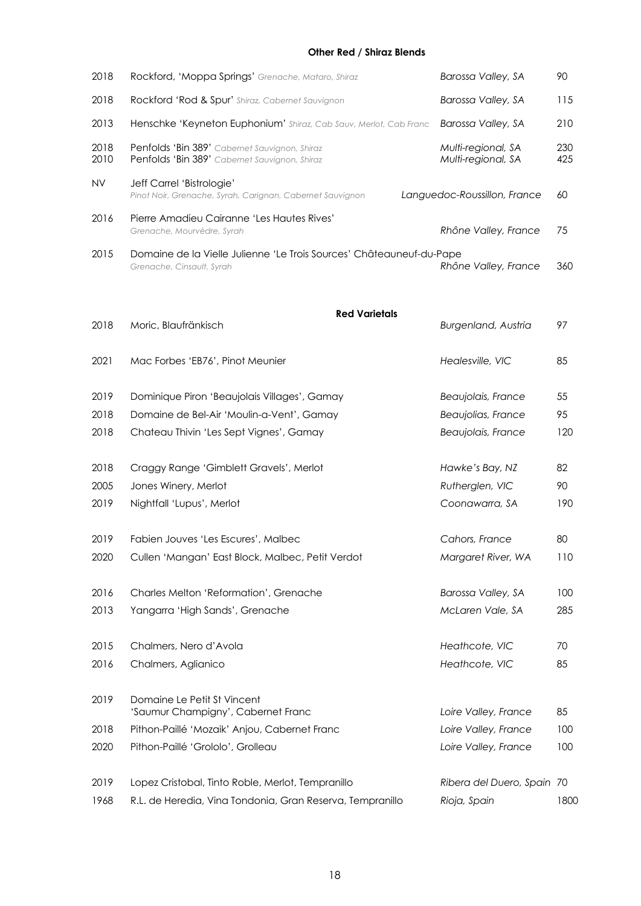# **Other Red / Shiraz Blends**

| 2018         | Rockford, 'Moppa Springs' Grenache, Mataro, Shiraz                                                | Barossa Valley, SA                       | 90         |
|--------------|---------------------------------------------------------------------------------------------------|------------------------------------------|------------|
| 2018         | Rockford 'Rod & Spur' Shiraz, Cabernet Sauvignon                                                  | Barossa Valley, SA                       | 115        |
| 2013         | Henschke 'Keyneton Euphonium' Shiraz, Cab Sauv, Merlot, Cab Franc                                 | Barossa Valley, SA                       | 210        |
| 2018<br>2010 | Penfolds 'Bin 389' Cabernet Sauvignon, Shiraz<br>Penfolds 'Bin 389' Cabernet Sauvignon, Shiraz    | Multi-regional, SA<br>Multi-regional, SA | 230<br>425 |
| <b>NV</b>    | Jeff Carrel 'Bistrologie'<br>Pinot Noir, Grenache, Syrah, Carignan, Cabernet Sauvignon            | Languedoc-Roussillon, France             | 60         |
| 2016         | Pierre Amadieu Cairanne 'Les Hautes Rives'<br>Grenache, Mourvèdre, Syrah                          | Rhône Valley, France                     | 75         |
| 2015         | Domaine de la Vielle Julienne 'Le Trois Sources' Châteauneuf-du-Pape<br>Grenache, Cinsault, Syrah | Rhône Valley, France                     | 360        |
|              | <b>Red Varietals</b>                                                                              |                                          |            |
| 2018         | Moric, Blaufränkisch                                                                              | <b>Burgenland, Austria</b>               | 97         |
| 2021         | Mac Forbes 'EB76', Pinot Meunier                                                                  | Healesville, VIC                         | 85         |
| 2019         | Dominique Piron 'Beaujolais Villages', Gamay                                                      | Beaujolais, France                       | 55         |
| 2018         | Domaine de Bel-Air 'Moulin-a-Vent', Gamay                                                         | Beaujolias, France                       | 95         |
| 2018         | Chateau Thivin 'Les Sept Vignes', Gamay                                                           | Beaujolais, France                       | 120        |
| 2018         | Craggy Range 'Gimblett Gravels', Merlot                                                           | Hawke's Bay, NZ                          | 82         |
| 2005         | Jones Winery, Merlot                                                                              | Rutherglen, VIC                          | 90         |
| 2019         | Nightfall 'Lupus', Merlot                                                                         | Coonawarra, SA                           | 190        |
| 2019         | Fabien Jouves 'Les Escures', Malbec                                                               | Cahors, France                           | 80         |
| 2020         | Cullen 'Mangan' East Block, Malbec, Petit Verdot                                                  | Margaret River, WA                       | 110        |
| 2016         | Charles Melton 'Reformation', Grenache                                                            | Barossa Valley, SA                       | 100        |
| 2013         | Yangarra 'High Sands', Grenache                                                                   | McLaren Vale, SA                         | 285        |
| 2015         | Chalmers, Nero d'Avola                                                                            | Heathcote, VIC                           | 70         |
| 2016         | Chalmers, Aglianico                                                                               | Heathcote, VIC                           | 85         |
| 2019         | Domaine Le Petit St Vincent<br>'Saumur Champigny', Cabernet Franc                                 | Loire Valley, France                     | 85         |
| 2018         | Pithon-Paillé 'Mozaik' Anjou, Cabernet Franc                                                      | Loire Valley, France                     | 100        |
| 2020         | Pithon-Paillé 'Grololo', Grolleau                                                                 | Loire Valley, France                     | 100        |
| 2019         | Lopez Cristobal, Tinto Roble, Merlot, Tempranillo                                                 | Ribera del Duero, Spain 70               |            |
| 1968         | R.L. de Heredia, Vina Tondonia, Gran Reserva, Tempranillo                                         | Rioja, Spain                             | 1800       |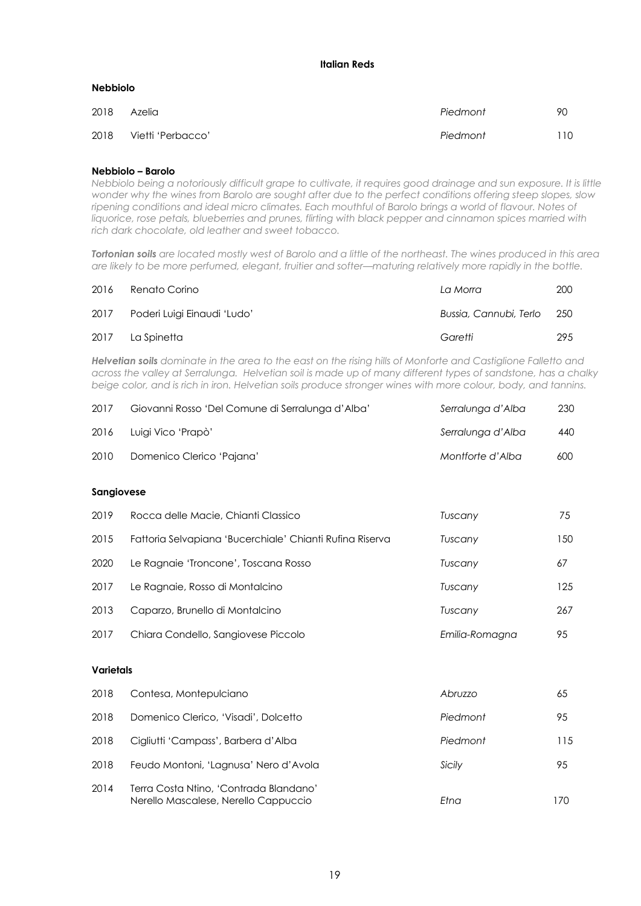#### **Italian Reds**

#### **Nebbiolo**

| 2018 | Azelia            | Piedmont | 90  |
|------|-------------------|----------|-----|
| 2018 | Vietti 'Perbacco' | Piedmont | 110 |

#### **Nebbiolo – Barolo**

*Nebbiolo being a notoriously difficult grape to cultivate, it requires good drainage and sun exposure. It is little wonder why the wines from Barolo are sought after due to the perfect conditions offering steep slopes, slow ripening conditions and ideal micro climates. Each mouthful of Barolo brings a world of flavour. Notes of liquorice, rose petals, blueberries and prunes, flirting with black pepper and cinnamon spices married with rich dark chocolate, old leather and sweet tobacco.*

*Tortonian soils are located mostly west of Barolo and a little of the northeast. The wines produced in this area are likely to be more perfumed, elegant, fruitier and softer—maturing relatively more rapidly in the bottle.*

| 2016 | Renato Corino                    | La Morra               | 200   |
|------|----------------------------------|------------------------|-------|
|      | 2017 Poderi Luigi Einaudi 'Ludo' | Bussia, Cannubi, Terlo | - 250 |
| 2017 | La Spinetta                      | Garetti                | 295   |

*Helvetian soils dominate in the area to the east on the rising hills of Monforte and Castiglione Falletto and across the valley at Serralunga. Helvetian soil is made up of many different types of sandstone, has a chalky beige color, and is rich in iron. Helvetian soils produce stronger wines with more colour, body, and tannins.*

| 2017 | Giovanni Rosso 'Del Comune di Serralunga d'Alba' | Serralunga d'Alba | 230 |
|------|--------------------------------------------------|-------------------|-----|
| 2016 | Luigi Vico 'Prapò'                               | Serralunga d'Alba | 440 |
| 2010 | Domenico Clerico 'Pajana'                        | Montforte d'Alba  | 600 |

#### **Sangiovese**

| 2019 | Rocca delle Macie, Chianti Classico                      | Tuscany        | 75  |
|------|----------------------------------------------------------|----------------|-----|
| 2015 | Fattoria Selvapiana 'Bucerchiale' Chianti Rufina Riserva | Tuscany        | 150 |
| 2020 | Le Ragnaie 'Troncone', Toscana Rosso                     | Tuscany        | 67  |
| 2017 | Le Ragnaie, Rosso di Montalcino                          | Tuscany        | 125 |
| 2013 | Caparzo, Brunello di Montalcino                          | Tuscany        | 267 |
| 2017 | Chiara Condello, Sangiovese Piccolo                      | Emilia-Romagna | 95  |

# **Varietals**

| 2018 | Contesa, Montepulciano                                                         | Abruzzo  | 65  |
|------|--------------------------------------------------------------------------------|----------|-----|
| 2018 | Domenico Clerico, 'Visadi', Dolcetto                                           | Piedmont | 95  |
| 2018 | Cigliutti 'Campass', Barbera d'Alba                                            | Piedmont | 115 |
| 2018 | Feudo Montoni, 'Lagnusa' Nero d'Avola                                          | Sicily   | 95  |
| 2014 | Terra Costa Ntino, 'Contrada Blandano'<br>Nerello Mascalese, Nerello Cappuccio | Etna     | 170 |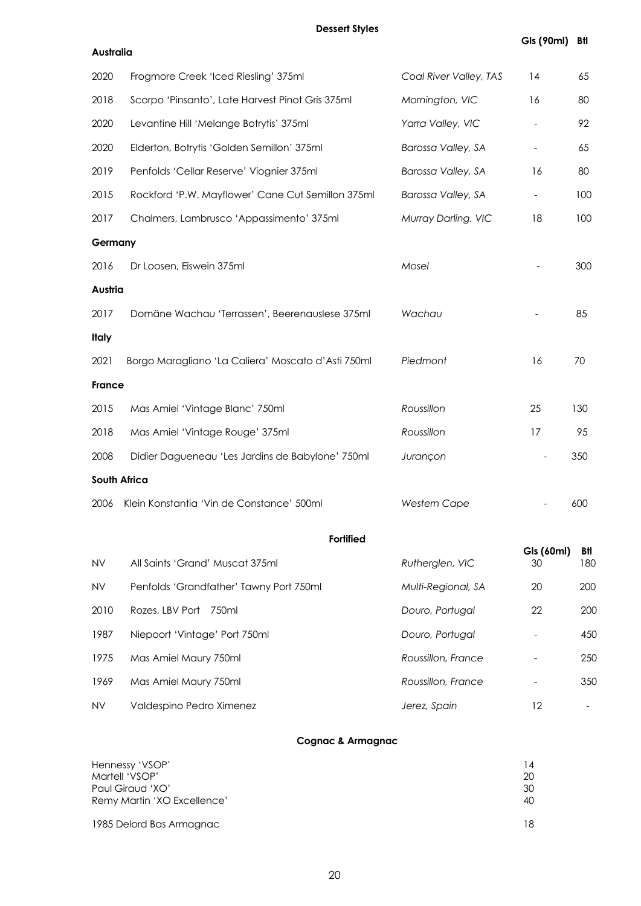**Dessert Styles**

| Australia    |                                                    |                        |                  |            |
|--------------|----------------------------------------------------|------------------------|------------------|------------|
| 2020         | Frogmore Creek 'Iced Riesling' 375ml               | Coal River Valley, TAS | 14               | 65         |
| 2018         | Scorpo 'Pinsanto', Late Harvest Pinot Gris 375ml   | Mornington, VIC        | 16               | 80         |
| 2020         | Levantine Hill 'Melange Botrytis' 375ml            | Yarra Valley, VIC      |                  | 92         |
| 2020         | Elderton, Botrytis 'Golden Semillon' 375ml         | Barossa Valley, SA     |                  | 65         |
| 2019         | Penfolds 'Cellar Reserve' Viognier 375ml           | Barossa Valley, SA     | 16               | 80         |
| 2015         | Rockford 'P.W. Mayflower' Cane Cut Semillon 375ml  | Barossa Valley, SA     |                  | 100        |
| 2017         | Chalmers, Lambrusco 'Appassimento' 375ml           | Murray Darling, VIC    | 18               | 100        |
| Germany      |                                                    |                        |                  |            |
| 2016         | Dr Loosen, Eiswein 375ml                           | Mosel                  |                  | 300        |
| Austria      |                                                    |                        |                  |            |
| 2017         | Domäne Wachau 'Terrassen', Beerenauslese 375ml     | Wachau                 |                  | 85         |
| <b>Italy</b> |                                                    |                        |                  |            |
| 2021         | Borgo Maragliano 'La Caliera' Moscato d'Asti 750ml | Piedmont               | 16               | 70         |
| France       |                                                    |                        |                  |            |
| 2015         | Mas Amiel 'Vintage Blanc' 750ml                    | Roussillon             | 25               | 130        |
| 2018         | Mas Amiel 'Vintage Rouge' 375ml                    | Roussillon             | 17               | 95         |
| 2008         | Didier Dagueneau 'Les Jardins de Babylone' 750ml   | Jurançon               |                  | 350        |
|              | South Africa                                       |                        |                  |            |
| 2006         | Klein Konstantia 'Vin de Constance' 500ml          | <b>Western Cape</b>    |                  | 600        |
|              | <b>Fortified</b>                                   |                        |                  |            |
| <b>NV</b>    | All Saints 'Grand' Muscat 375ml                    | Rutherglen, VIC        | Gls (60ml)<br>30 | Btl<br>180 |
| <b>NV</b>    | Penfolds 'Grandfather' Tawny Port 750ml            | Multi-Regional, SA     | 20               | 200        |
| 2010         | Rozes, LBV Port<br>750ml                           | Douro, Portugal        | 22               | <b>200</b> |
| 1987         | Niepoort 'Vintage' Port 750ml                      | Douro, Portugal        |                  | 45C        |
| 1975         | Mas Amiel Maury 750ml                              | Roussillon, France     |                  | 25C        |
| 1969         | Mas Amiel Maury 750ml                              | Roussillon, France     |                  | 35C        |
| <b>NV</b>    | Valdespino Pedro Ximenez                           | Jerez, Spain           | 12               |            |

# **Cognac & Armagnac**

| Hennessy 'VSOP'<br>Martell 'VSOP'<br>Paul Giraud 'XO'<br>Remy Martin 'XO Excellence' | 20<br>-30<br>40 |
|--------------------------------------------------------------------------------------|-----------------|
| 1985 Delord Bas Armagnac                                                             |                 |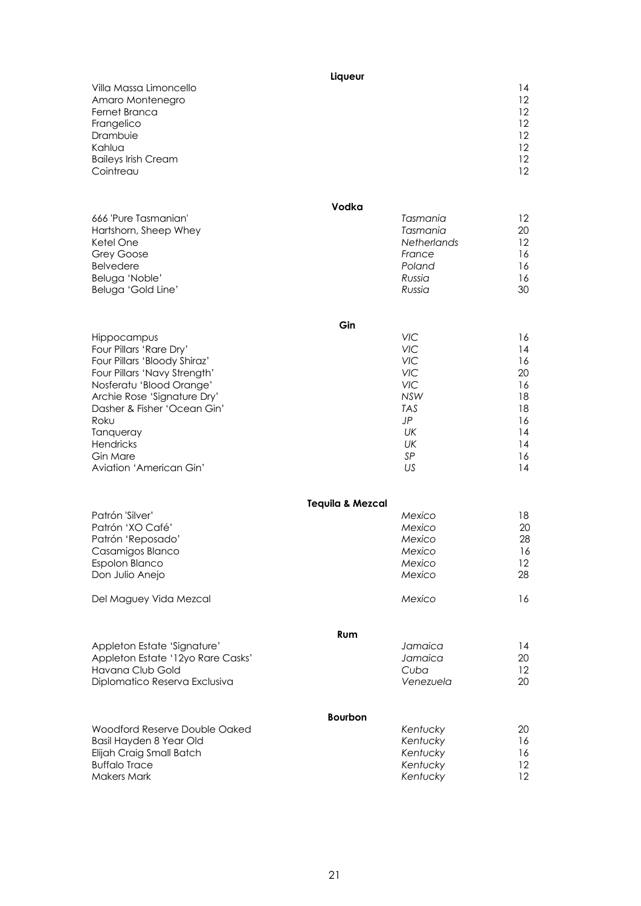| Villa Massa Limoncello<br>Amaro Montenegro<br>Fernet Branca<br>Frangelico<br>Drambuie<br>Kahlua<br><b>Baileys Irish Cream</b><br>Cointreau | Liqueur                     |                    | 14<br>$12 \overline{ }$<br>12 <sup>2</sup><br>12<br>12<br>12<br>$12 \overline{ }$<br>12 |
|--------------------------------------------------------------------------------------------------------------------------------------------|-----------------------------|--------------------|-----------------------------------------------------------------------------------------|
| 666 'Pure Tasmanian'                                                                                                                       | Vodka                       | Tasmania           | 12                                                                                      |
| Hartshorn, Sheep Whey                                                                                                                      |                             | Tasmania           | 20                                                                                      |
| Ketel One                                                                                                                                  |                             | <b>Netherlands</b> | 12                                                                                      |
| Grey Goose                                                                                                                                 |                             | France             | 16                                                                                      |
| <b>Belvedere</b>                                                                                                                           |                             | Poland             | 16                                                                                      |
| Beluga 'Noble'                                                                                                                             |                             | Russia             | 16                                                                                      |
| Beluga 'Gold Line'                                                                                                                         |                             | Russia             | 30                                                                                      |
|                                                                                                                                            | Gin                         |                    |                                                                                         |
| Hippocampus                                                                                                                                |                             | <b>VIC</b>         | 16                                                                                      |
| Four Pillars 'Rare Dry'                                                                                                                    |                             | <b>VIC</b>         | 14                                                                                      |
| Four Pillars 'Bloody Shiraz'                                                                                                               |                             | <b>VIC</b>         | 16                                                                                      |
| Four Pillars 'Navy Strength'                                                                                                               |                             | VIC                | 20                                                                                      |
| Nosferatu 'Blood Orange'                                                                                                                   |                             | VIC                | 16                                                                                      |
| Archie Rose 'Signature Dry'                                                                                                                |                             | <b>NSW</b>         | 18                                                                                      |
| Dasher & Fisher 'Ocean Gin'                                                                                                                |                             | <b>TAS</b>         | 18                                                                                      |
| Roku                                                                                                                                       |                             | <b>JP</b>          | 16                                                                                      |
| Tanqueray                                                                                                                                  |                             | UK                 | 14                                                                                      |
| Hendricks                                                                                                                                  |                             | UK                 | 14                                                                                      |
| Gin Mare                                                                                                                                   |                             | SP                 | 16                                                                                      |
| Aviation 'American Gin'                                                                                                                    |                             | US                 | 14                                                                                      |
|                                                                                                                                            | <b>Tequila &amp; Mezcal</b> |                    |                                                                                         |
| Patrón 'Silver'                                                                                                                            |                             | Mexico             | 18                                                                                      |
| Patrón 'XO Café'                                                                                                                           |                             | Mexico             | 20                                                                                      |
| Patrón 'Reposado'                                                                                                                          |                             | Mexico             | 28                                                                                      |
| Casamigos Blanco                                                                                                                           |                             | Mexico             | 16                                                                                      |
| Espolon Blanco                                                                                                                             |                             | Mexico             | 12                                                                                      |
| Don Julio Anejo                                                                                                                            |                             | Mexico             | 28                                                                                      |
| Del Maguey Vida Mezcal                                                                                                                     |                             | Mexico             | 16                                                                                      |
|                                                                                                                                            | Rum                         |                    |                                                                                         |
| Appleton Estate 'Signature'                                                                                                                |                             | Jamaica            | 14                                                                                      |
| Appleton Estate '12yo Rare Casks'                                                                                                          |                             | Jamaica            | 20                                                                                      |
| Havana Club Gold                                                                                                                           |                             | Cuba               | 12                                                                                      |
| Diplomatico Reserva Exclusiva                                                                                                              |                             | Venezuela          | 20                                                                                      |
| Woodford Reserve Double Oaked                                                                                                              | <b>Bourbon</b>              | Kentucky           | 20                                                                                      |
| Basil Hayden 8 Year Old                                                                                                                    |                             | Kentucky           | 16                                                                                      |
| Elijah Craig Small Batch                                                                                                                   |                             | Kentucky           | 16                                                                                      |
| <b>Buffalo Trace</b>                                                                                                                       |                             | Kentucky           | 12                                                                                      |
| <b>Makers Mark</b>                                                                                                                         |                             | Kentucky           | 12                                                                                      |